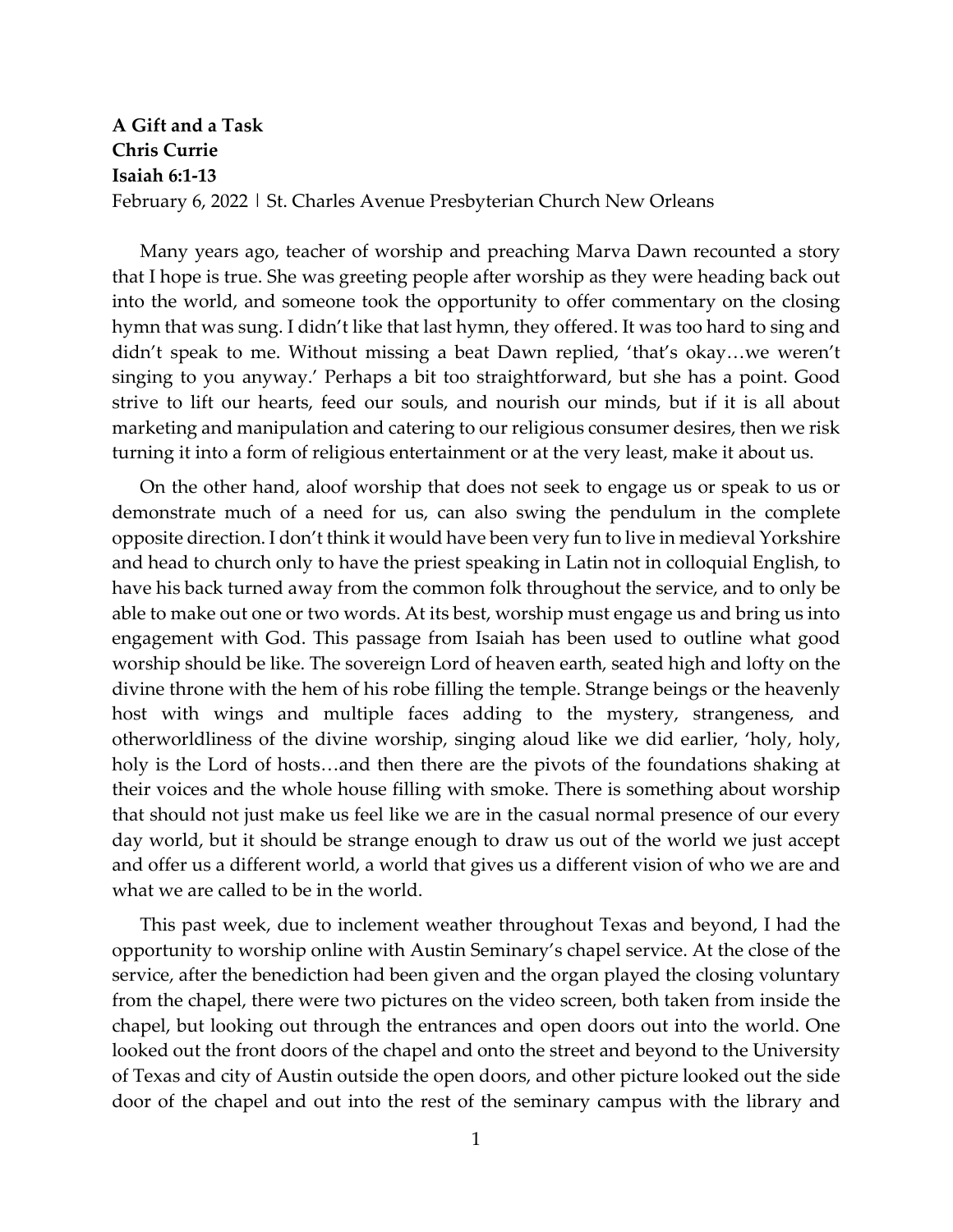## **A Gift and a Task Chris Currie Isaiah 6:1-13** February 6, 2022 | St. Charles Avenue Presbyterian Church New Orleans

Many years ago, teacher of worship and preaching Marva Dawn recounted a story that I hope is true. She was greeting people after worship as they were heading back out into the world, and someone took the opportunity to offer commentary on the closing hymn that was sung. I didn't like that last hymn, they offered. It was too hard to sing and didn't speak to me. Without missing a beat Dawn replied, 'that's okay…we weren't singing to you anyway.' Perhaps a bit too straightforward, but she has a point. Good strive to lift our hearts, feed our souls, and nourish our minds, but if it is all about marketing and manipulation and catering to our religious consumer desires, then we risk turning it into a form of religious entertainment or at the very least, make it about us.

On the other hand, aloof worship that does not seek to engage us or speak to us or demonstrate much of a need for us, can also swing the pendulum in the complete opposite direction. I don't think it would have been very fun to live in medieval Yorkshire and head to church only to have the priest speaking in Latin not in colloquial English, to have his back turned away from the common folk throughout the service, and to only be able to make out one or two words. At its best, worship must engage us and bring us into engagement with God. This passage from Isaiah has been used to outline what good worship should be like. The sovereign Lord of heaven earth, seated high and lofty on the divine throne with the hem of his robe filling the temple. Strange beings or the heavenly host with wings and multiple faces adding to the mystery, strangeness, and otherworldliness of the divine worship, singing aloud like we did earlier, 'holy, holy, holy is the Lord of hosts...and then there are the pivots of the foundations shaking at their voices and the whole house filling with smoke. There is something about worship that should not just make us feel like we are in the casual normal presence of our every day world, but it should be strange enough to draw us out of the world we just accept and offer us a different world, a world that gives us a different vision of who we are and what we are called to be in the world.

This past week, due to inclement weather throughout Texas and beyond, I had the opportunity to worship online with Austin Seminary's chapel service. At the close of the service, after the benediction had been given and the organ played the closing voluntary from the chapel, there were two pictures on the video screen, both taken from inside the chapel, but looking out through the entrances and open doors out into the world. One looked out the front doors of the chapel and onto the street and beyond to the University of Texas and city of Austin outside the open doors, and other picture looked out the side door of the chapel and out into the rest of the seminary campus with the library and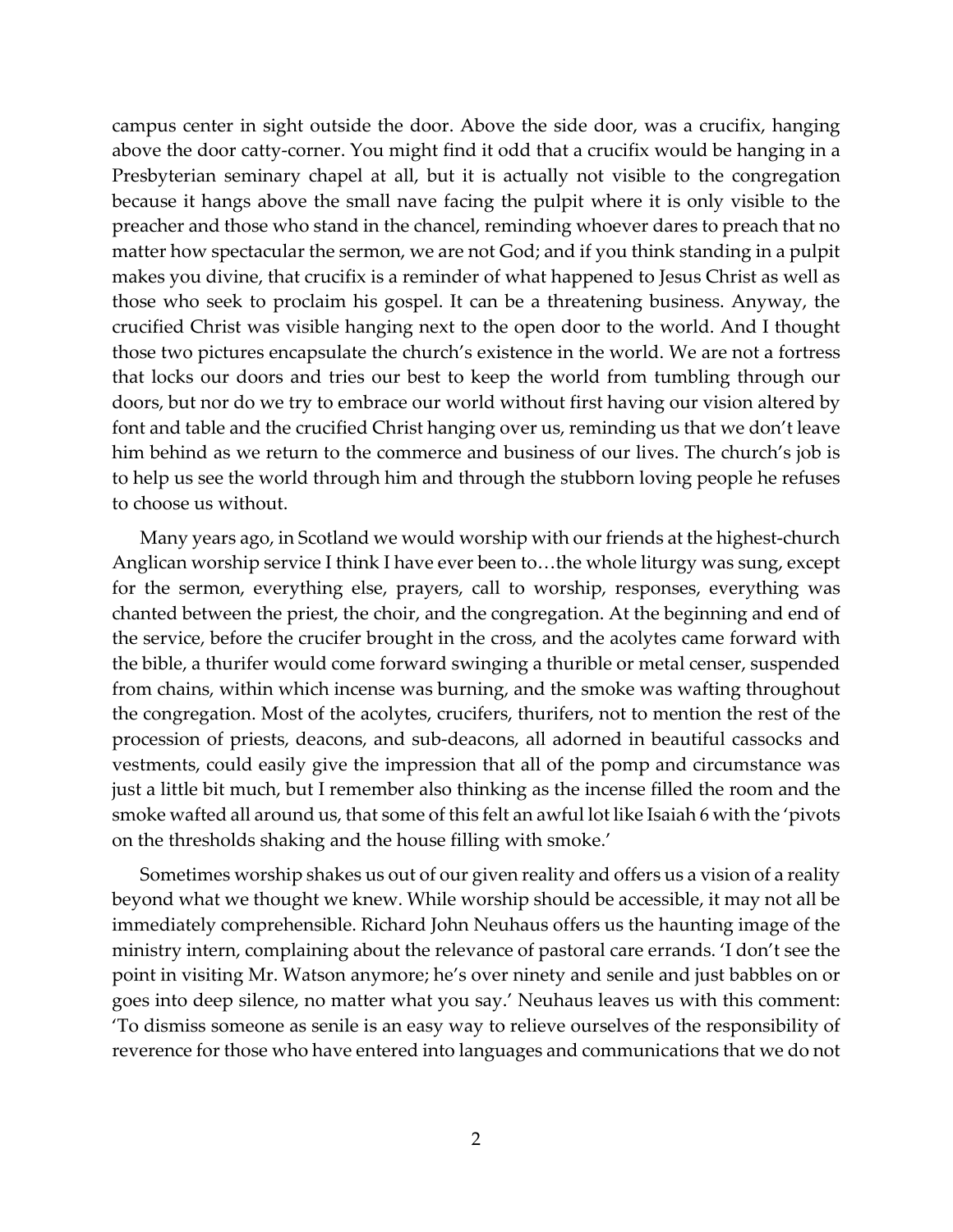campus center in sight outside the door. Above the side door, was a crucifix, hanging above the door catty-corner. You might find it odd that a crucifix would be hanging in a Presbyterian seminary chapel at all, but it is actually not visible to the congregation because it hangs above the small nave facing the pulpit where it is only visible to the preacher and those who stand in the chancel, reminding whoever dares to preach that no matter how spectacular the sermon, we are not God; and if you think standing in a pulpit makes you divine, that crucifix is a reminder of what happened to Jesus Christ as well as those who seek to proclaim his gospel. It can be a threatening business. Anyway, the crucified Christ was visible hanging next to the open door to the world. And I thought those two pictures encapsulate the church's existence in the world. We are not a fortress that locks our doors and tries our best to keep the world from tumbling through our doors, but nor do we try to embrace our world without first having our vision altered by font and table and the crucified Christ hanging over us, reminding us that we don't leave him behind as we return to the commerce and business of our lives. The church's job is to help us see the world through him and through the stubborn loving people he refuses to choose us without.

Many years ago, in Scotland we would worship with our friends at the highest-church Anglican worship service I think I have ever been to…the whole liturgy was sung, except for the sermon, everything else, prayers, call to worship, responses, everything was chanted between the priest, the choir, and the congregation. At the beginning and end of the service, before the crucifer brought in the cross, and the acolytes came forward with the bible, a thurifer would come forward swinging a thurible or metal censer, suspended from chains, within which incense was burning, and the smoke was wafting throughout the congregation. Most of the acolytes, crucifers, thurifers, not to mention the rest of the procession of priests, deacons, and sub-deacons, all adorned in beautiful cassocks and vestments, could easily give the impression that all of the pomp and circumstance was just a little bit much, but I remember also thinking as the incense filled the room and the smoke wafted all around us, that some of this felt an awful lot like Isaiah 6 with the 'pivots on the thresholds shaking and the house filling with smoke.'

Sometimes worship shakes us out of our given reality and offers us a vision of a reality beyond what we thought we knew. While worship should be accessible, it may not all be immediately comprehensible. Richard John Neuhaus offers us the haunting image of the ministry intern, complaining about the relevance of pastoral care errands. 'I don't see the point in visiting Mr. Watson anymore; he's over ninety and senile and just babbles on or goes into deep silence, no matter what you say.' Neuhaus leaves us with this comment: 'To dismiss someone as senile is an easy way to relieve ourselves of the responsibility of reverence for those who have entered into languages and communications that we do not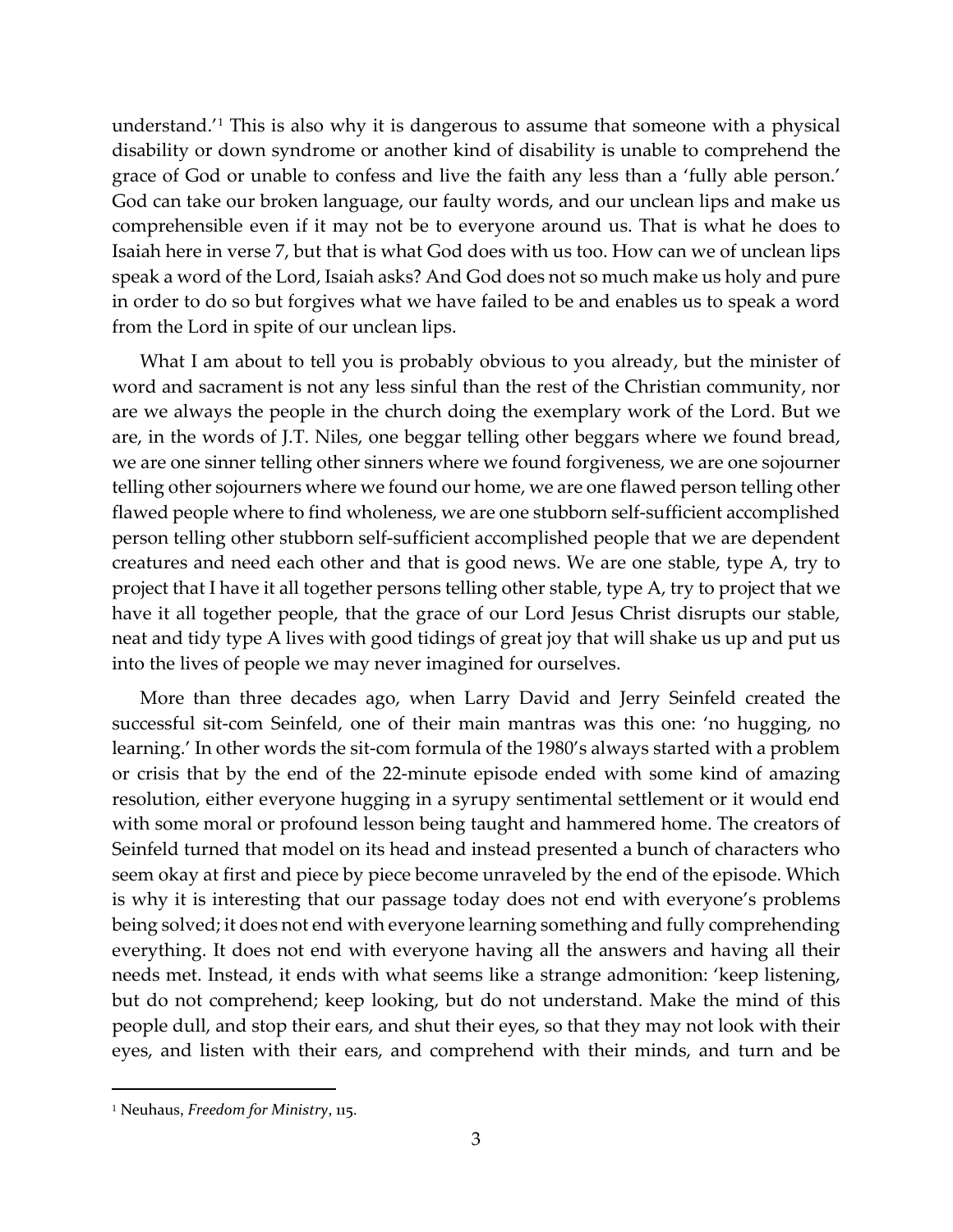understand.'[1](#page-2-0) This is also why it is dangerous to assume that someone with a physical disability or down syndrome or another kind of disability is unable to comprehend the grace of God or unable to confess and live the faith any less than a 'fully able person.' God can take our broken language, our faulty words, and our unclean lips and make us comprehensible even if it may not be to everyone around us. That is what he does to Isaiah here in verse 7, but that is what God does with us too. How can we of unclean lips speak a word of the Lord, Isaiah asks? And God does not so much make us holy and pure in order to do so but forgives what we have failed to be and enables us to speak a word from the Lord in spite of our unclean lips.

What I am about to tell you is probably obvious to you already, but the minister of word and sacrament is not any less sinful than the rest of the Christian community, nor are we always the people in the church doing the exemplary work of the Lord. But we are, in the words of J.T. Niles, one beggar telling other beggars where we found bread, we are one sinner telling other sinners where we found forgiveness, we are one sojourner telling other sojourners where we found our home, we are one flawed person telling other flawed people where to find wholeness, we are one stubborn self-sufficient accomplished person telling other stubborn self-sufficient accomplished people that we are dependent creatures and need each other and that is good news. We are one stable, type A, try to project that I have it all together persons telling other stable, type A, try to project that we have it all together people, that the grace of our Lord Jesus Christ disrupts our stable, neat and tidy type A lives with good tidings of great joy that will shake us up and put us into the lives of people we may never imagined for ourselves.

More than three decades ago, when Larry David and Jerry Seinfeld created the successful sit-com Seinfeld, one of their main mantras was this one: 'no hugging, no learning.' In other words the sit-com formula of the 1980's always started with a problem or crisis that by the end of the 22-minute episode ended with some kind of amazing resolution, either everyone hugging in a syrupy sentimental settlement or it would end with some moral or profound lesson being taught and hammered home. The creators of Seinfeld turned that model on its head and instead presented a bunch of characters who seem okay at first and piece by piece become unraveled by the end of the episode. Which is why it is interesting that our passage today does not end with everyone's problems being solved; it does not end with everyone learning something and fully comprehending everything. It does not end with everyone having all the answers and having all their needs met. Instead, it ends with what seems like a strange admonition: 'keep listening, but do not comprehend; keep looking, but do not understand. Make the mind of this people dull, and stop their ears, and shut their eyes, so that they may not look with their eyes, and listen with their ears, and comprehend with their minds, and turn and be

<span id="page-2-0"></span><sup>1</sup> Neuhaus, *Freedom for Ministry*, 115.